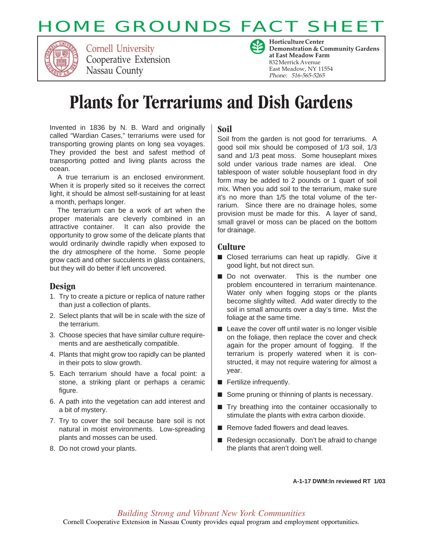# **HOME GROUNDS FACT SHEE**



Cornell University Cooperative Extension Nassau County



**Horticulture Center Demonstration & Community Gardens at East Meadow Farm** 832 Merrick Avenue East Meadow, NY 11554 Phone: 516-565-5265

# **Plants for Terrariums and Dish Gardens**

Invented in 1836 by N. B. Ward and originally called "Wardian Cases," terrariums were used for transporting growing plants on long sea voyages. They provided the best and safest method of transporting potted and living plants across the ocean.

A true terrarium is an enclosed environment. When it is properly sited so it receives the correct light, it should be almost self-sustaining for at least a month, perhaps longer.

The terrarium can be a work of art when the proper materials are cleverly combined in an attractive container. It can also provide the opportunity to grow some of the delicate plants that would ordinarily dwindle rapidly when exposed to the dry atmosphere of the home. Some people grow cacti and other succulents in glass containers, but they will do better if left uncovered.

### **Design**

- 1. Try to create a picture or replica of nature rather than just a collection of plants.
- 2. Select plants that will be in scale with the size of the terrarium.
- 3. Choose species that have similar culture requirements and are aesthetically compatible.
- 4. Plants that might grow too rapidly can be planted in their pots to slow growth.
- 5. Each terrarium should have a focal point: a stone, a striking plant or perhaps a ceramic figure.
- 6. A path into the vegetation can add interest and a bit of mystery.
- 7. Try to cover the soil because bare soil is not natural in moist environments. Low-spreading plants and mosses can be used.
- 8. Do not crowd your plants.

### **Soil**

Soil from the garden is not good for terrariums. A good soil mix should be composed of 1/3 soil, 1/3 sand and 1/3 peat moss. Some houseplant mixes sold under various trade names are ideal. One tablespoon of water soluble houseplant food in dry form may be added to 2 pounds or 1 quart of soil mix. When you add soil to the terrarium, make sure it's no more than 1/5 the total volume of the terrarium. Since there are no drainage holes, some provision must be made for this. A layer of sand, small gravel or moss can be placed on the bottom for drainage.

### **Culture**

- Closed terrariums can heat up rapidly. Give it good light, but not direct sun.
- Do not overwater. This is the number one problem encountered in terrarium maintenance. Water only when fogging stops or the plants become slightly wilted. Add water directly to the soil in small amounts over a day's time. Mist the foliage at the same time.
- Leave the cover off until water is no longer visible on the foliage, then replace the cover and check again for the proper amount of fogging. If the terrarium is properly watered when it is constructed, it may not require watering for almost a year.
- Fertilize infrequently.
- Some pruning or thinning of plants is necessary.
- Try breathing into the container occasionally to stimulate the plants with extra carbon dioxide.
- Remove faded flowers and dead leaves.
- Redesign occasionally. Don't be afraid to change the plants that aren't doing well.

**A-1-17 DWM:ln reviewed RT 1/03**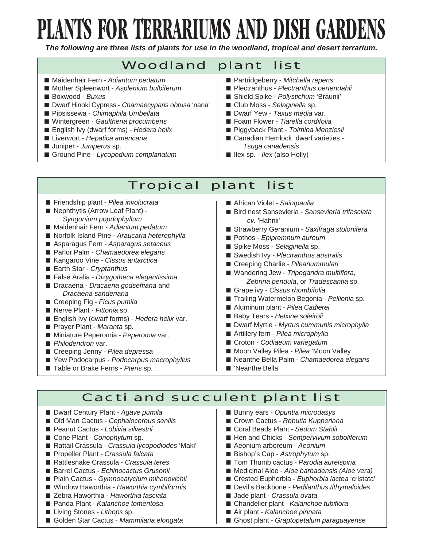# **PLANTS FOR TERRARIUMS AND DISH GARDENS**

*The following are three lists of plants for use in the woodland, tropical and desert terrarium.*

## Woodland plant list

- Maidenhair Fern *Adiantum pedatum*
- Mother Spleenwort Asplenium bulbiferum
- Boxwood *Buxus*
- Dwarf Hinoki Cypress *Chamaecyparis obtusa* 'nana'
- Pipsissewa *Chimaphila Umbellata*
- Wintergreen *Gaultheria procumbens*
- English Ivy (dwarf forms) *Hedera helix*
- Liverwort *Hepatica americana*
- Juniper *Juniperus* sp.
- Ground Pine *Lycopodium complanatum*
- Partridgeberry *Mitchella repens*
- Plectranthus *Plectranthus oertendahli*
- Shield Spike *Polystichum* 'Braunii'
- Club Moss *Selaginella* sp.
- Dwarf Yew *Taxus media* var.
- Foam Flower *Tiarella cordifolia*
- Piggyback Plant *Tolmiea Menziesii*
- Canadian Hemlock, dwarf varieties - *Tsuga canadensis*
- Ilex sp. *Ilex* (also Holly)

## Tropical plant list

- Friendship plant *Pilea involucrata*
- Nephthytis (Arrow Leaf Plant) - *Syngonium popdophyllum*
- Maidenhair Fern Adiantum pedatum
- Norfolk Island Pine Araucaria heterophylla
- Asparagus Fern Asparagus setaceus
- Parlor Palm *Chamaedorea elegans*
- Kangaroo Vine *Cissus antarctica*
- Earth Star *Cryptanthus*
- False Aralia *Dizygotheca elegantissima*
- Dracaena *Dracaena godseffiana* and  *Dracaena sanderiana*
- Creeping Fig *Ficus pumila*
- Nerve Plant *Fittonia* sp.
- English Ivy (dwarf forms) *Hedera helix* var.
- Prayer Plant *Maranta* sp.
- Miniature Peperomia *Peperomia* var.
- *Philodendron* var.
- Creeping Jenny *Pilea depressa*
- Yew Podocarpus *Podocarpus macrophyllus*
- Table or Brake Ferns *Pteris* sp.
- African Violet Saintpaulia
- Bird nest Sansevieria *Sansevieria trifasciata cv.* 'Hahnii'
- Strawberry Geranium Saxifraga stolonifera
- Pothos *Epipremnum aureum*
- Spike Moss *Selaginella* sp.
- Swedish Ivy Plectranthus australis
- Creeping Charlie Pileanummulari
- Wandering Jew *Tripogandra multiflora*,  *Zebrina pendula*, or *Tradescantia* sp.
- Grape ivy *Cissus rhombifolia*
- Trailing Watermelon Begonia *Pellionia* sp.
- Aluminum plant *Pilea Cadierei*
- Baby Tears *Helxine soleiroli*
- Dwarf Myrtle Myrtus cummunis microphylla
- Artillery fern *Pilea microphylla*
- Croton *Codiaeum variegatum*
- Moon Valley Pilea Pilea 'Moon Valley
- Neanthe Bella Palm *Chamaedorea elegans*
- 'Neanthe Bella'

### Cacti and succulent plant list

- Dwarf Century Plant Agave pumila
- Old Man Cactus *Cephalocereus senilis*
- Peanut Cactus *Lobivia silvestrii*
- Cone Plant *Conophytum* sp.
- Rattail Crassula *Crassula lycopodiodes* 'Maki'
- Propeller Plant *Crassula falcata*
- Rattlesnake Crassula *Crassula teres*
- Barrel Cactus *Echinocactus Grusonii*
- Plain Cactus *Gymnocalycium mihanovichii*
- Window Haworthia *Haworthia cymbiformis*
- Zebra Haworthia *Haworthia fasciata*
- Panda Plant *Kalanchoe tomentosa*
- Living Stones *Lithops* sp.
- Golden Star Cactus Mammilaria elongata
- Bunny ears Opuntia microdasys
- Crown Cactus *Rebutia Kupperiana*
- Coral Beads Plant *Sedum Stahlii*
- Hen and Chicks *Sempervivum soboliferum*
- Aeonium arboreum Aeonium
- Bishop's Cap *Astrophytum* sp.
- Tom Thumb cactus Parodia aureispina
- Medicinal Aloe *Aloe barbadensis (Aloe vera)*
- Crested Euphorbia Euphorbia lactea 'cristata'
- Devil's Backbone *Pedilanthus tithymaloides*
- Jade plant *Crassula ovata*
- Chandelier plant *Kalanchoe tubiflora*
- Air plant *Kalanchoe pinnata*
- Ghost plant *Graptopetalum paraguayense*